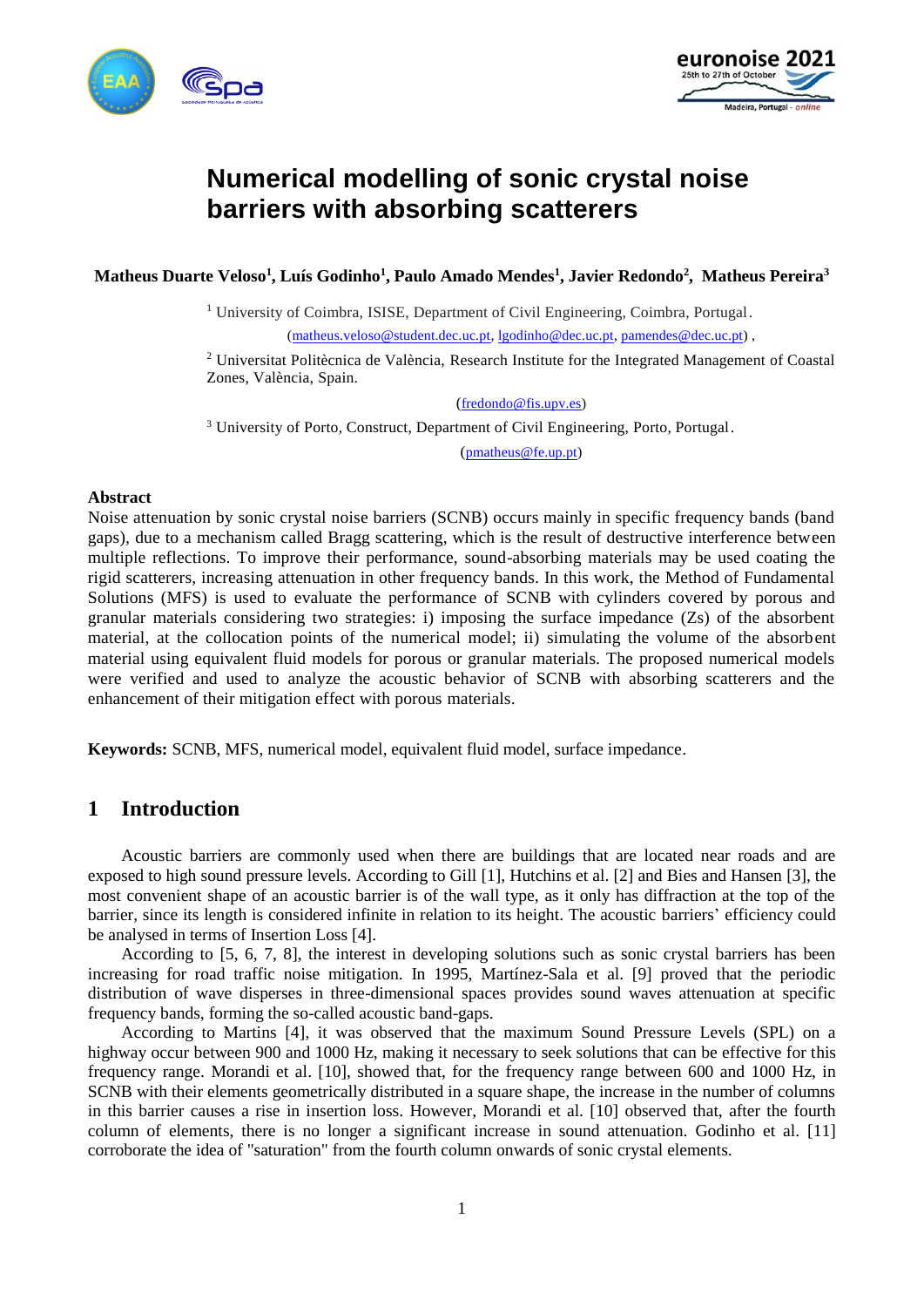



# **Numerical modelling of sonic crystal noise barriers with absorbing scatterers**

**Matheus Duarte Veloso<sup>1</sup> , Luís Godinho<sup>1</sup> , Paulo Amado Mendes<sup>1</sup> , Javier Redondo<sup>2</sup> , Matheus Pereira<sup>3</sup>**

<sup>1</sup> University of Coimbra, ISISE, Department of Civil Engineering, Coimbra, Portugal.

[\(matheus.veloso@student.dec.uc.pt,](mailto:matheus.veloso@student.dec.uc.pt) [lgodinho@dec.uc.pt,](mailto:lgodinho@dec.uc.pt) [pamendes@dec.uc.pt\)](mailto:pamendes@dec.uc.pt) ,

<sup>2</sup> Universitat Politècnica de València, Research Institute for the Integrated Management of Coastal Zones, València, Spain.

([fredondo@fis.upv.es\)](mailto:fredondo@fis.upv.es)

<sup>3</sup> University of Porto, Construct, Department of Civil Engineering, Porto, Portugal. ([pmatheus@fe.up.pt\)](mailto:pmatheus@fe.up.pt)

#### **Abstract**

Noise attenuation by sonic crystal noise barriers (SCNB) occurs mainly in specific frequency bands (band gaps), due to a mechanism called Bragg scattering, which is the result of destructive interference between multiple reflections. To improve their performance, sound-absorbing materials may be used coating the rigid scatterers, increasing attenuation in other frequency bands. In this work, the Method of Fundamental Solutions (MFS) is used to evaluate the performance of SCNB with cylinders covered by porous and granular materials considering two strategies: i) imposing the surface impedance (Zs) of the absorbent material, at the collocation points of the numerical model; ii) simulating the volume of the absorbent material using equivalent fluid models for porous or granular materials. The proposed numerical models were verified and used to analyze the acoustic behavior of SCNB with absorbing scatterers and the enhancement of their mitigation effect with porous materials.

**Keywords:** SCNB, MFS, numerical model, equivalent fluid model, surface impedance.

### **1 Introduction**

Acoustic barriers are commonly used when there are buildings that are located near roads and are exposed to high sound pressure levels. According to Gill [1], Hutchins et al. [2] and Bies and Hansen [3], the most convenient shape of an acoustic barrier is of the wall type, as it only has diffraction at the top of the barrier, since its length is considered infinite in relation to its height. The acoustic barriers' efficiency could be analysed in terms of Insertion Loss [4].

According to [5, 6, 7, 8], the interest in developing solutions such as sonic crystal barriers has been increasing for road traffic noise mitigation. In 1995, Martínez-Sala et al. [9] proved that the periodic distribution of wave disperses in three-dimensional spaces provides sound waves attenuation at specific frequency bands, forming the so-called acoustic band-gaps.

According to Martins [4], it was observed that the maximum Sound Pressure Levels (SPL) on a highway occur between 900 and 1000 Hz, making it necessary to seek solutions that can be effective for this frequency range. Morandi et al. [10], showed that, for the frequency range between 600 and 1000 Hz, in SCNB with their elements geometrically distributed in a square shape, the increase in the number of columns in this barrier causes a rise in insertion loss. However, Morandi et al. [10] observed that, after the fourth column of elements, there is no longer a significant increase in sound attenuation. Godinho et al. [11] corroborate the idea of "saturation" from the fourth column onwards of sonic crystal elements.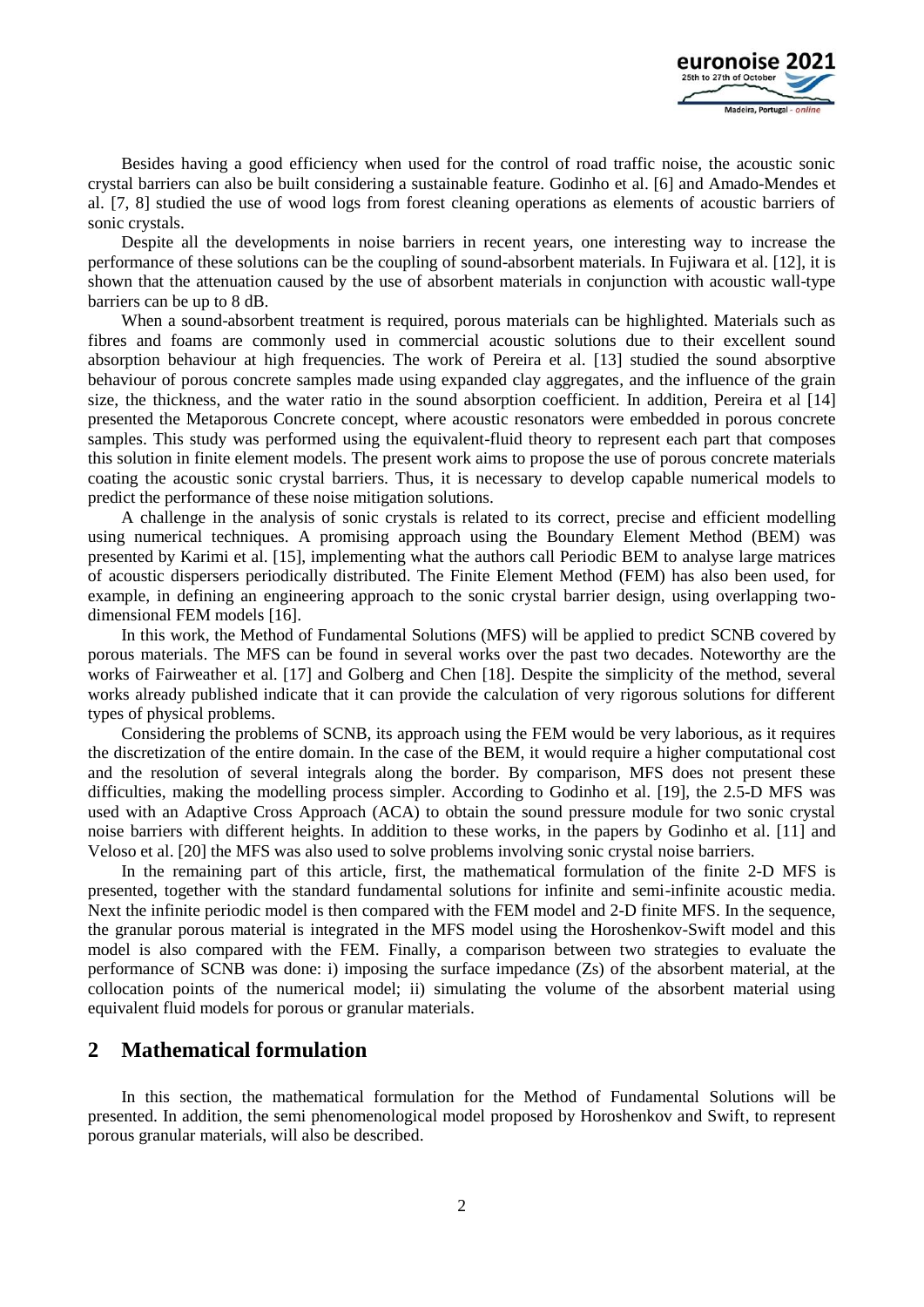

Besides having a good efficiency when used for the control of road traffic noise, the acoustic sonic crystal barriers can also be built considering a sustainable feature. Godinho et al. [6] and Amado-Mendes et al. [7, 8] studied the use of wood logs from forest cleaning operations as elements of acoustic barriers of sonic crystals.

Despite all the developments in noise barriers in recent years, one interesting way to increase the performance of these solutions can be the coupling of sound-absorbent materials. In Fujiwara et al. [12], it is shown that the attenuation caused by the use of absorbent materials in conjunction with acoustic wall-type barriers can be up to 8 dB.

When a sound-absorbent treatment is required, porous materials can be highlighted. Materials such as fibres and foams are commonly used in commercial acoustic solutions due to their excellent sound absorption behaviour at high frequencies. The work of Pereira et al. [13] studied the sound absorptive behaviour of porous concrete samples made using expanded clay aggregates, and the influence of the grain size, the thickness, and the water ratio in the sound absorption coefficient. In addition, Pereira et al [14] presented the Metaporous Concrete concept, where acoustic resonators were embedded in porous concrete samples. This study was performed using the equivalent-fluid theory to represent each part that composes this solution in finite element models. The present work aims to propose the use of porous concrete materials coating the acoustic sonic crystal barriers. Thus, it is necessary to develop capable numerical models to predict the performance of these noise mitigation solutions.

A challenge in the analysis of sonic crystals is related to its correct, precise and efficient modelling using numerical techniques. A promising approach using the Boundary Element Method (BEM) was presented by Karimi et al. [15], implementing what the authors call Periodic BEM to analyse large matrices of acoustic dispersers periodically distributed. The Finite Element Method (FEM) has also been used, for example, in defining an engineering approach to the sonic crystal barrier design, using overlapping twodimensional FEM models [16].

In this work, the Method of Fundamental Solutions (MFS) will be applied to predict SCNB covered by porous materials. The MFS can be found in several works over the past two decades. Noteworthy are the works of Fairweather et al. [17] and Golberg and Chen [18]. Despite the simplicity of the method, several works already published indicate that it can provide the calculation of very rigorous solutions for different types of physical problems.

Considering the problems of SCNB, its approach using the FEM would be very laborious, as it requires the discretization of the entire domain. In the case of the BEM, it would require a higher computational cost and the resolution of several integrals along the border. By comparison, MFS does not present these difficulties, making the modelling process simpler. According to Godinho et al. [19], the 2.5-D MFS was used with an Adaptive Cross Approach (ACA) to obtain the sound pressure module for two sonic crystal noise barriers with different heights. In addition to these works, in the papers by Godinho et al. [11] and Veloso et al. [20] the MFS was also used to solve problems involving sonic crystal noise barriers.

In the remaining part of this article, first, the mathematical formulation of the finite 2-D MFS is presented, together with the standard fundamental solutions for infinite and semi-infinite acoustic media. Next the infinite periodic model is then compared with the FEM model and 2-D finite MFS. In the sequence, the granular porous material is integrated in the MFS model using the Horoshenkov-Swift model and this model is also compared with the FEM. Finally, a comparison between two strategies to evaluate the performance of SCNB was done: i) imposing the surface impedance (Zs) of the absorbent material, at the collocation points of the numerical model; ii) simulating the volume of the absorbent material using equivalent fluid models for porous or granular materials.

### **2 Mathematical formulation**

In this section, the mathematical formulation for the Method of Fundamental Solutions will be presented. In addition, the semi phenomenological model proposed by Horoshenkov and Swift, to represent porous granular materials, will also be described.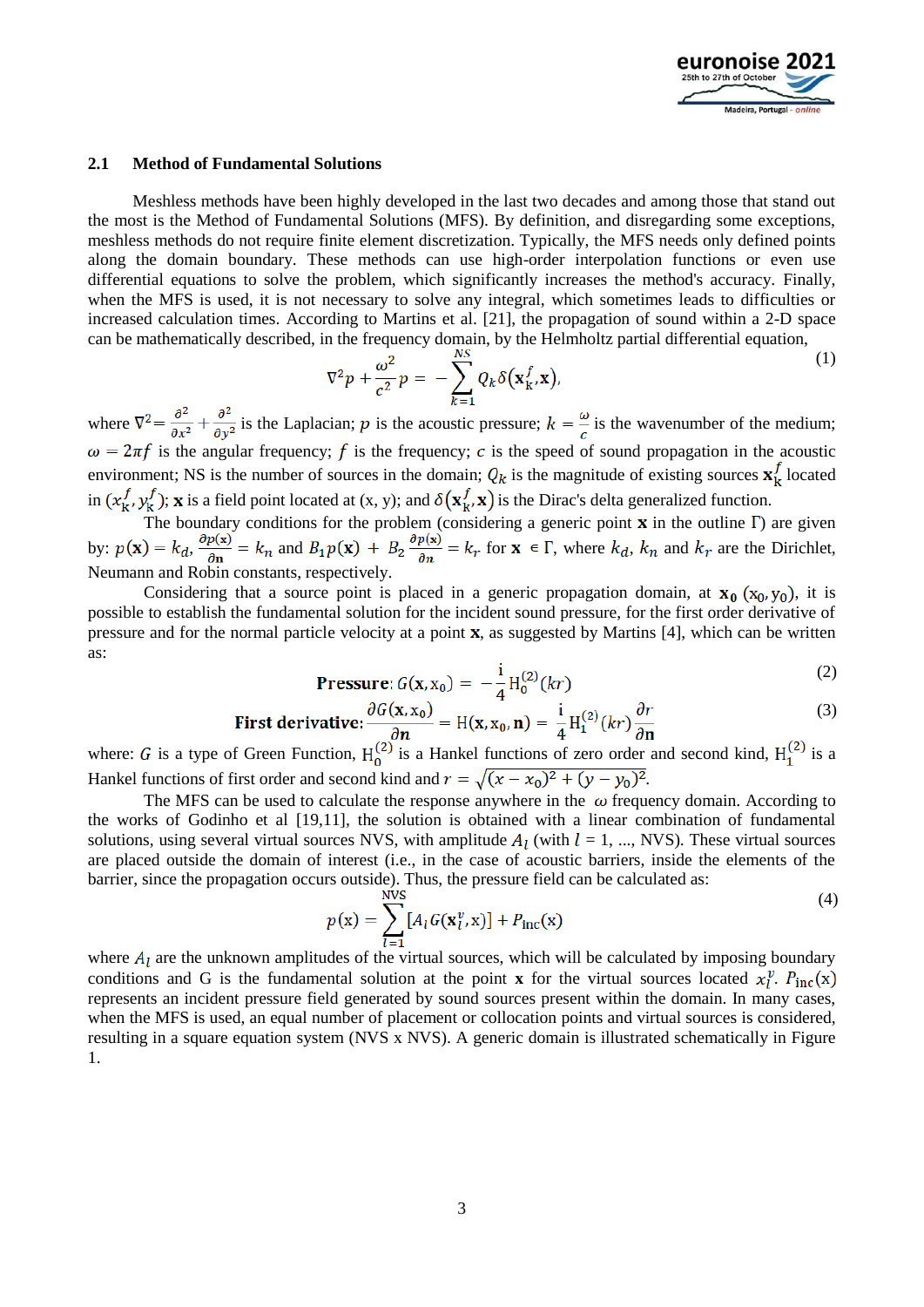

#### **2.1 Method of Fundamental Solutions**

Meshless methods have been highly developed in the last two decades and among those that stand out the most is the Method of Fundamental Solutions (MFS). By definition, and disregarding some exceptions, meshless methods do not require finite element discretization. Typically, the MFS needs only defined points along the domain boundary. These methods can use high-order interpolation functions or even use differential equations to solve the problem, which significantly increases the method's accuracy. Finally, when the MFS is used, it is not necessary to solve any integral, which sometimes leads to difficulties or increased calculation times. According to Martins et al. [21], the propagation of sound within a 2-D space can be mathematically described, in the frequency domain, by the Helmholtz partial differential equation,

$$
\nabla^2 p + \frac{\omega^2}{c^2} p = -\sum_{k=1}^{NS} Q_k \delta(\mathbf{x}_k^f, \mathbf{x}), \tag{1}
$$

where  $\nabla^2 = \frac{\partial^2}{\partial x^2} + \frac{\partial^2}{\partial y^2}$  is the Laplacian; p is the acoustic pressure;  $k = \frac{\omega}{c}$  is the wavenumber of the medium;  $\omega = 2\pi f$  is the angular frequency; f is the frequency; c is the speed of sound propagation in the acoustic environment; NS is the number of sources in the domain;  $Q_k$  is the magnitude of existing sources  $\mathbf{x}_k^f$  located in  $(x_k^f, y_k^f)$ ; **x** is a field point located at  $(x, y)$ ; and  $\delta(x_k^f, x)$  is the Dirac's delta generalized function.

The boundary conditions for the problem (considering a generic point  $\bf{x}$  in the outline  $\Gamma$ ) are given by:  $p(\mathbf{x}) = k_d$ ,  $\frac{\partial p(\mathbf{x})}{\partial \mathbf{n}} = k_n$  and  $B_1 p(\mathbf{x}) + B_2 \frac{\partial p(\mathbf{x})}{\partial \mathbf{n}} = k_r$  for  $\mathbf{x} \in \Gamma$ , where  $k_d$ ,  $k_n$  and  $k_r$  are the Dirichlet, Neumann and Robin constants, respectively.

Considering that a source point is placed in a generic propagation domain, at  $x_0$  ( $x_0$ ,  $y_0$ ), it is possible to establish the fundamental solution for the incident sound pressure, for the first order derivative of pressure and for the normal particle velocity at a point  $\bf{x}$ , as suggested by Martins [4], which can be written as:

**Pressure:** 
$$
G(\mathbf{x}, \mathbf{x}_0) = -\frac{1}{4} H_0^{(2)}(kr)
$$
 (2)

First derivative: 
$$
\frac{\partial G(\mathbf{x}, \mathbf{x}_0)}{\partial \mathbf{n}} = H(\mathbf{x}, \mathbf{x}_0, \mathbf{n}) = \frac{i}{4} H_1^{(2)}(kr) \frac{\partial r}{\partial \mathbf{n}}
$$
 (3)

where: G is a type of Green Function,  $H_0^{(2)}$  is a Hankel functions of zero order and second kind,  $H_1^{(2)}$  is a Hankel functions of first order and second kind and  $r = \sqrt{(x - x_0)^2 + (y - y_0)^2}$ .

The MFS can be used to calculate the response anywhere in the  $\omega$  frequency domain. According to the works of Godinho et al [19,11], the solution is obtained with a linear combination of fundamental solutions, using several virtual sources NVS, with amplitude  $A<sub>l</sub>$  (with  $l = 1, ..., NVS$ ). These virtual sources are placed outside the domain of interest (i.e., in the case of acoustic barriers, inside the elements of the barrier, since the propagation occurs outside). Thus, the pressure field can be calculated as:

$$
p(x) = \sum_{l=1}^{NVS} [A_l G(\mathbf{x}_l^v, x)] + P_{inc}(x)
$$
 (4)

where  $A_l$  are the unknown amplitudes of the virtual sources, which will be calculated by imposing boundary conditions and G is the fundamental solution at the point **x** for the virtual sources located  $x_l^v$ .  $P_{inc}(x)$ represents an incident pressure field generated by sound sources present within the domain. In many cases, when the MFS is used, an equal number of placement or collocation points and virtual sources is considered, resulting in a square equation system (NVS x NVS). A generic domain is illustrated schematically in Figure 1.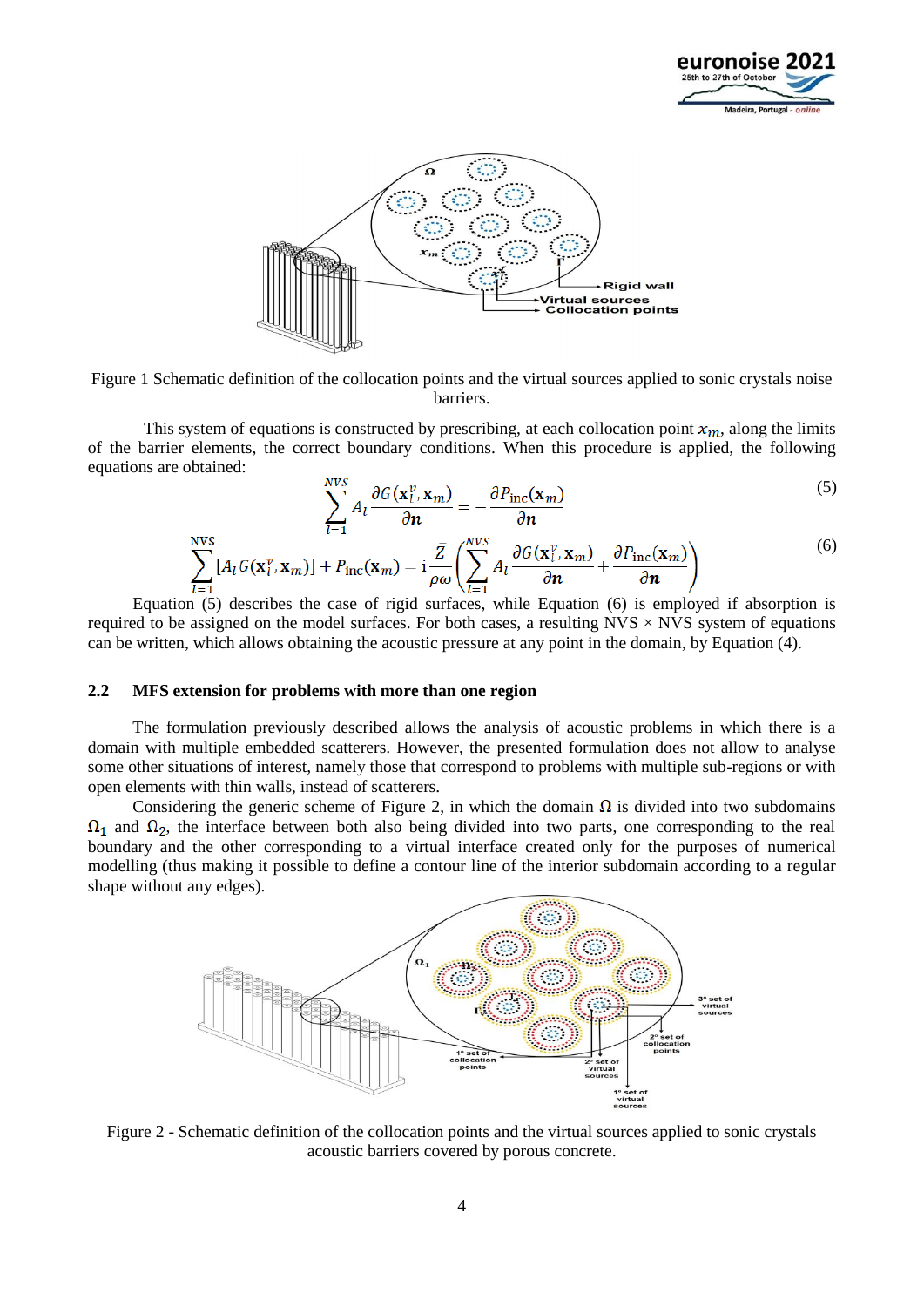



Figure 1 Schematic definition of the collocation points and the virtual sources applied to sonic crystals noise barriers.

This system of equations is constructed by prescribing, at each collocation point  $x_m$ , along the limits of the barrier elements, the correct boundary conditions. When this procedure is applied, the following equations are obtained:

$$
\sum_{n=1}^{NVS} A_l \frac{\partial G(\mathbf{x}_l^v, \mathbf{x}_m)}{\partial \mathbf{n}} = -\frac{\partial P_{\text{inc}}(\mathbf{x}_m)}{\partial \mathbf{n}}
$$
(5)

$$
\sum_{l=1}^{NVS} [A_l G(\mathbf{x}_l^v, \mathbf{x}_m)] + P_{\text{inc}}(\mathbf{x}_m) = \mathbf{i} \frac{\bar{Z}}{\rho \omega} \left( \sum_{l=1}^{NVS} A_l \frac{\partial G(\mathbf{x}_l^v, \mathbf{x}_m)}{\partial \mathbf{n}} + \frac{\partial P_{\text{inc}}(\mathbf{x}_m)}{\partial \mathbf{n}} \right)
$$
(6)

Equation (5) describes the case of rigid surfaces, while Equation (6) is employed if absorption is required to be assigned on the model surfaces. For both cases, a resulting  $NVS \times NVS$  system of equations can be written, which allows obtaining the acoustic pressure at any point in the domain, by Equation (4).

#### **2.2 MFS extension for problems with more than one region**

The formulation previously described allows the analysis of acoustic problems in which there is a domain with multiple embedded scatterers. However, the presented formulation does not allow to analyse some other situations of interest, namely those that correspond to problems with multiple sub-regions or with open elements with thin walls, instead of scatterers.

Considering the generic scheme of Figure 2, in which the domain  $\Omega$  is divided into two subdomains  $\Omega_1$  and  $\Omega_2$ , the interface between both also being divided into two parts, one corresponding to the real boundary and the other corresponding to a virtual interface created only for the purposes of numerical modelling (thus making it possible to define a contour line of the interior subdomain according to a regular shape without any edges).



Figure 2 - Schematic definition of the collocation points and the virtual sources applied to sonic crystals acoustic barriers covered by porous concrete.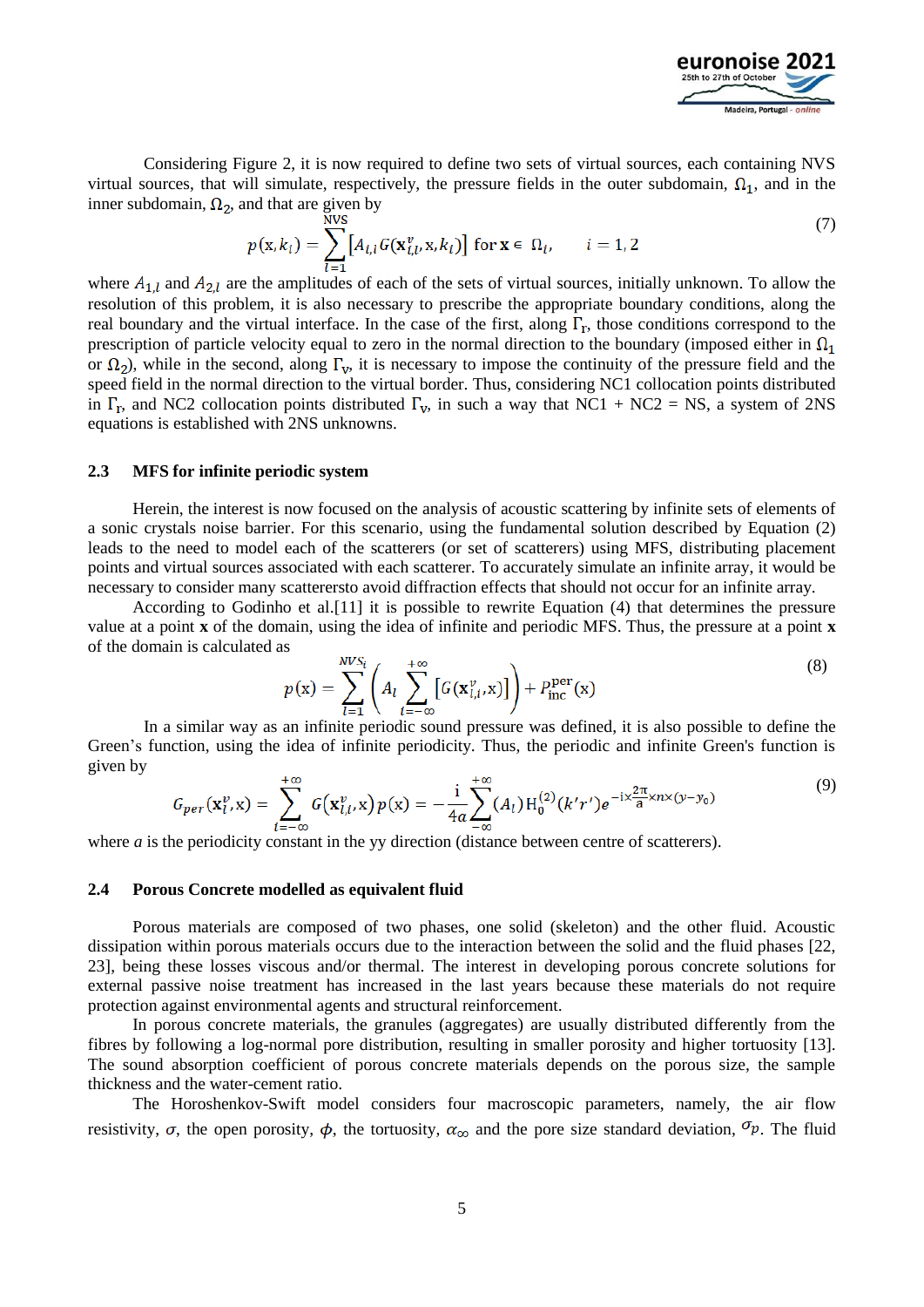

Considering Figure 2, it is now required to define two sets of virtual sources, each containing NVS virtual sources, that will simulate, respectively, the pressure fields in the outer subdomain,  $\Omega_1$ , and in the inner subdomain,  $\Omega_2$ , and that are given by

$$
p(\mathbf{x}, k_i) = \sum_{l=1}^{NVS} [A_{i,l} G(\mathbf{x}_{i,l}^v, \mathbf{x}, k_i)] \text{ for } \mathbf{x} \in \Omega_i, \qquad i = 1, 2
$$
 (7)

where  $A_{1,l}$  and  $A_{2,l}$  are the amplitudes of each of the sets of virtual sources, initially unknown. To allow the resolution of this problem, it is also necessary to prescribe the appropriate boundary conditions, along the real boundary and the virtual interface. In the case of the first, along  $\Gamma_r$ , those conditions correspond to the prescription of particle velocity equal to zero in the normal direction to the boundary (imposed either in  $\Omega_1$ ) or  $\Omega_2$ ), while in the second, along  $\Gamma_v$ , it is necessary to impose the continuity of the pressure field and the speed field in the normal direction to the virtual border. Thus, considering NC1 collocation points distributed in  $\Gamma_r$ , and NC2 collocation points distributed  $\Gamma_v$ , in such a way that NC1 + NC2 = NS, a system of 2NS equations is established with 2NS unknowns.

#### **2.3 MFS for infinite periodic system**

Herein, the interest is now focused on the analysis of acoustic scattering by infinite sets of elements of a sonic crystals noise barrier. For this scenario, using the fundamental solution described by Equation (2) leads to the need to model each of the scatterers (or set of scatterers) using MFS, distributing placement points and virtual sources associated with each scatterer. To accurately simulate an infinite array, it would be necessary to consider many scatterersto avoid diffraction effects that should not occur for an infinite array.

According to Godinho et al.[11] it is possible to rewrite Equation (4) that determines the pressure value at a point **x** of the domain, using the idea of infinite and periodic MFS. Thus, the pressure at a point **x** of the domain is calculated as 

$$
p(\mathbf{x}) = \sum_{l=1}^{NVS_i} \left( A_l \sum_{i=-\infty}^{+\infty} \left[ G(\mathbf{x}_{l,i}^v, \mathbf{x}) \right] \right) + P_{\text{inc}}^{\text{per}}(\mathbf{x}) \tag{8}
$$

In a similar way as an infinite periodic sound pressure was defined, it is also possible to define the Green's function, using the idea of infinite periodicity. Thus, the periodic and infinite Green's function is given by

$$
G_{per}(\mathbf{x}_l^v, \mathbf{x}) = \sum_{i=-\infty}^{+\infty} G(\mathbf{x}_{l,i}^v, \mathbf{x}) p(\mathbf{x}) = -\frac{i}{4a} \sum_{-\infty}^{+\infty} (A_l) H_0^{(2)}(k'r') e^{-i \times \frac{2\pi}{a} x n \times (y-y_0)}
$$
(9)

where *a* is the periodicity constant in the yy direction (distance between centre of scatterers).

#### **2.4 Porous Concrete modelled as equivalent fluid**

Porous materials are composed of two phases, one solid (skeleton) and the other fluid. Acoustic dissipation within porous materials occurs due to the interaction between the solid and the fluid phases [22, 23], being these losses viscous and/or thermal. The interest in developing porous concrete solutions for external passive noise treatment has increased in the last years because these materials do not require protection against environmental agents and structural reinforcement.

In porous concrete materials, the granules (aggregates) are usually distributed differently from the fibres by following a log-normal pore distribution, resulting in smaller porosity and higher tortuosity [13]. The sound absorption coefficient of porous concrete materials depends on the porous size, the sample thickness and the water-cement ratio.

The Horoshenkov-Swift model considers four macroscopic parameters, namely, the air flow resistivity,  $\sigma$ , the open porosity,  $\phi$ , the tortuosity,  $\alpha_{\infty}$  and the pore size standard deviation,  $\sigma_p$ . The fluid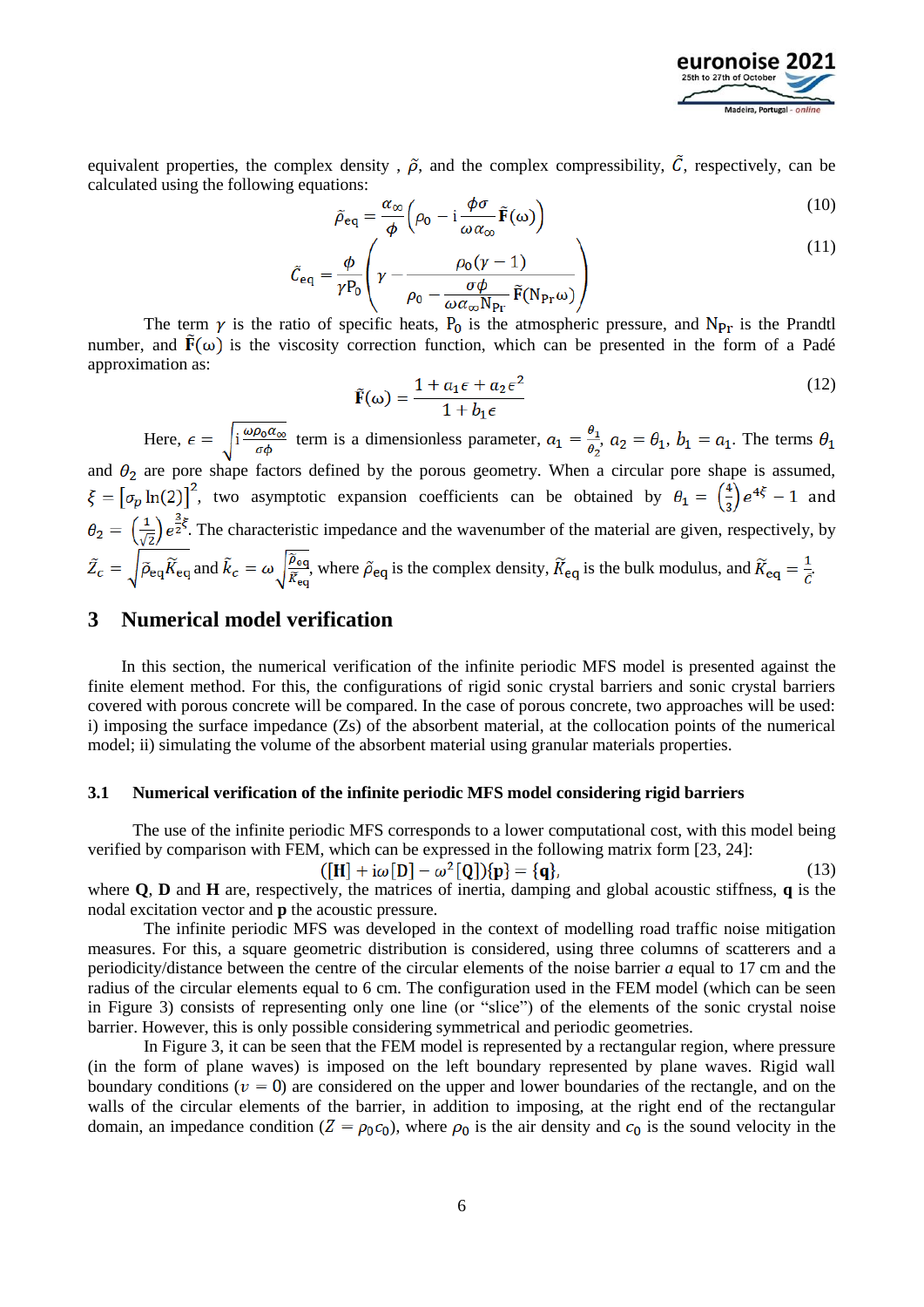

equivalent properties, the complex density,  $\tilde{\rho}$ , and the complex compressibility,  $\tilde{C}$ , respectively, can be calculated using the following equations:

$$
\tilde{\rho}_{\text{eq}} = \frac{\alpha_{\infty}}{\phi} \left( \rho_0 - \mathrm{i} \frac{\phi \sigma}{\omega \alpha_{\infty}} \tilde{\mathbf{F}}(\omega) \right)
$$
(10)

$$
\tilde{C}_{\text{eq}} = \frac{\phi}{\gamma P_0} \left( \gamma - \frac{\rho_0 (\gamma - 1)}{\rho_0 - \frac{\sigma \phi}{\omega \alpha_{\infty} N_{\text{Pr}}} \tilde{F}(N_{\text{Pr}} \omega)} \right)
$$
(11)

The term  $\gamma$  is the ratio of specific heats,  $P_0$  is the atmospheric pressure, and  $N_{\text{Pr}}$  is the Prandtl number, and  $\mathbf{F}(\omega)$  is the viscosity correction function, which can be presented in the form of a Padé approximation as:

$$
\tilde{\mathbf{F}}(\omega) = \frac{1 + a_1 \epsilon + a_2 \epsilon^2}{1 + b_1 \epsilon} \tag{12}
$$

Here,  $\epsilon = \sqrt{\frac{i \omega \rho_0 a_{\infty}}{\sigma \phi}}$  term is a dimensionless parameter,  $a_1 = \frac{\theta_1}{\theta_2}$ ,  $a_2 = \theta_1$ ,  $b_1 = a_1$ . The terms  $\theta_1$ and  $\theta_2$  are pore shape factors defined by the porous geometry. When a circular pore shape is assumed,

 $\xi = \left[\sigma_p \ln(2)\right]^2$ , two asymptotic expansion coefficients can be obtained by  $\theta_1 = \left(\frac{4}{3}\right)e^{4\xi} - 1$  and  $\theta_2 = \left(\frac{1}{\sqrt{2}}\right) e^{\frac{3}{2}\xi}$ . The characteristic impedance and the wavenumber of the material are given, respectively, by  $\tilde{Z}_c = \sqrt{\tilde{\rho}_{eq} \tilde{K}_{eq}}$  and  $\tilde{K}_c = \omega \sqrt{\frac{\tilde{\rho}_{eq}}{\tilde{K}_{eq}}}$ , where  $\tilde{\rho}_{eq}$  is the complex density,  $\tilde{K}_{eq}$  is the bulk modulus, and  $\tilde{K}_{eq} = \frac{1}{c}$ .

## **3 Numerical model verification**

In this section, the numerical verification of the infinite periodic MFS model is presented against the finite element method. For this, the configurations of rigid sonic crystal barriers and sonic crystal barriers covered with porous concrete will be compared. In the case of porous concrete, two approaches will be used: i) imposing the surface impedance (Zs) of the absorbent material, at the collocation points of the numerical model; ii) simulating the volume of the absorbent material using granular materials properties.

#### **3.1 Numerical verification of the infinite periodic MFS model considering rigid barriers**

The use of the infinite periodic MFS corresponds to a lower computational cost, with this model being verified by comparison with FEM, which can be expressed in the following matrix form [23, 24]:

$$
([\mathbf{H}] + i\omega[\mathbf{D}] - \omega^2[\mathbf{Q}])\{\mathbf{p}\} = {\mathbf{q}},\tag{13}
$$

where **Q**, **D** and **H** are, respectively, the matrices of inertia, damping and global acoustic stiffness, **q** is the nodal excitation vector and **p** the acoustic pressure.

The infinite periodic MFS was developed in the context of modelling road traffic noise mitigation measures. For this, a square geometric distribution is considered, using three columns of scatterers and a periodicity/distance between the centre of the circular elements of the noise barrier *a* equal to 17 cm and the radius of the circular elements equal to 6 cm. The configuration used in the FEM model (which can be seen in Figure 3) consists of representing only one line (or "slice") of the elements of the sonic crystal noise barrier. However, this is only possible considering symmetrical and periodic geometries.

In Figure 3, it can be seen that the FEM model is represented by a rectangular region, where pressure (in the form of plane waves) is imposed on the left boundary represented by plane waves. Rigid wall boundary conditions ( $v = 0$ ) are considered on the upper and lower boundaries of the rectangle, and on the walls of the circular elements of the barrier, in addition to imposing, at the right end of the rectangular domain, an impedance condition ( $Z = \rho_0 c_0$ ), where  $\rho_0$  is the air density and  $c_0$  is the sound velocity in the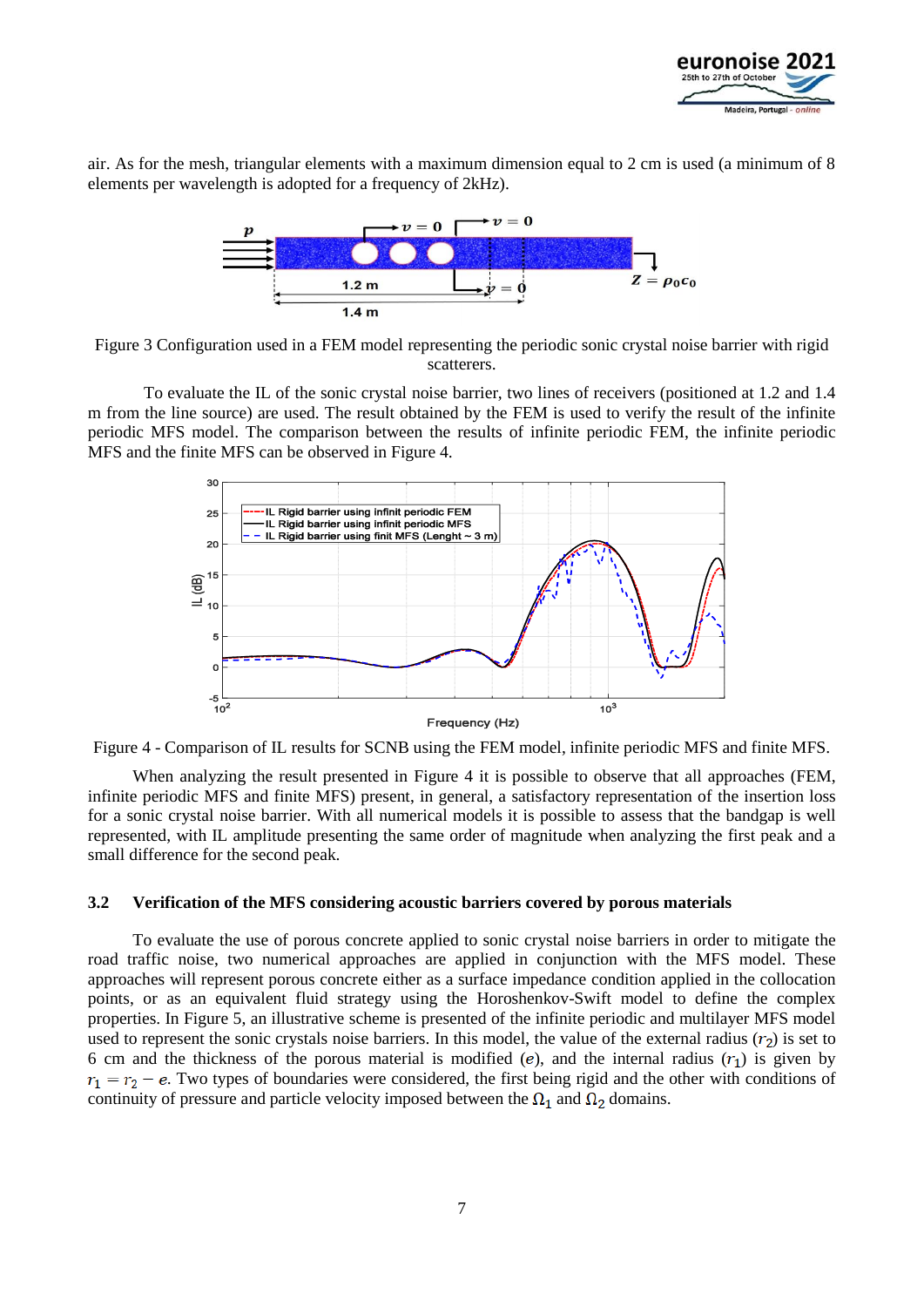

air. As for the mesh, triangular elements with a maximum dimension equal to 2 cm is used (a minimum of 8 elements per wavelength is adopted for a frequency of 2kHz).



Figure 3 Configuration used in a FEM model representing the periodic sonic crystal noise barrier with rigid scatterers.

To evaluate the IL of the sonic crystal noise barrier, two lines of receivers (positioned at 1.2 and 1.4 m from the line source) are used. The result obtained by the FEM is used to verify the result of the infinite periodic MFS model. The comparison between the results of infinite periodic FEM, the infinite periodic MFS and the finite MFS can be observed in Figure 4.



Figure 4 - Comparison of IL results for SCNB using the FEM model, infinite periodic MFS and finite MFS.

When analyzing the result presented in Figure 4 it is possible to observe that all approaches (FEM, infinite periodic MFS and finite MFS) present, in general, a satisfactory representation of the insertion loss for a sonic crystal noise barrier. With all numerical models it is possible to assess that the bandgap is well represented, with IL amplitude presenting the same order of magnitude when analyzing the first peak and a small difference for the second peak.

#### **3.2 Verification of the MFS considering acoustic barriers covered by porous materials**

To evaluate the use of porous concrete applied to sonic crystal noise barriers in order to mitigate the road traffic noise, two numerical approaches are applied in conjunction with the MFS model. These approaches will represent porous concrete either as a surface impedance condition applied in the collocation points, or as an equivalent fluid strategy using the Horoshenkov-Swift model to define the complex properties. In Figure 5, an illustrative scheme is presented of the infinite periodic and multilayer MFS model used to represent the sonic crystals noise barriers. In this model, the value of the external radius  $(r_2)$  is set to 6 cm and the thickness of the porous material is modified (e), and the internal radius  $(r_1)$  is given by  $r_1 = r_2 - e$ . Two types of boundaries were considered, the first being rigid and the other with conditions of continuity of pressure and particle velocity imposed between the  $\Omega_1$  and  $\Omega_2$  domains.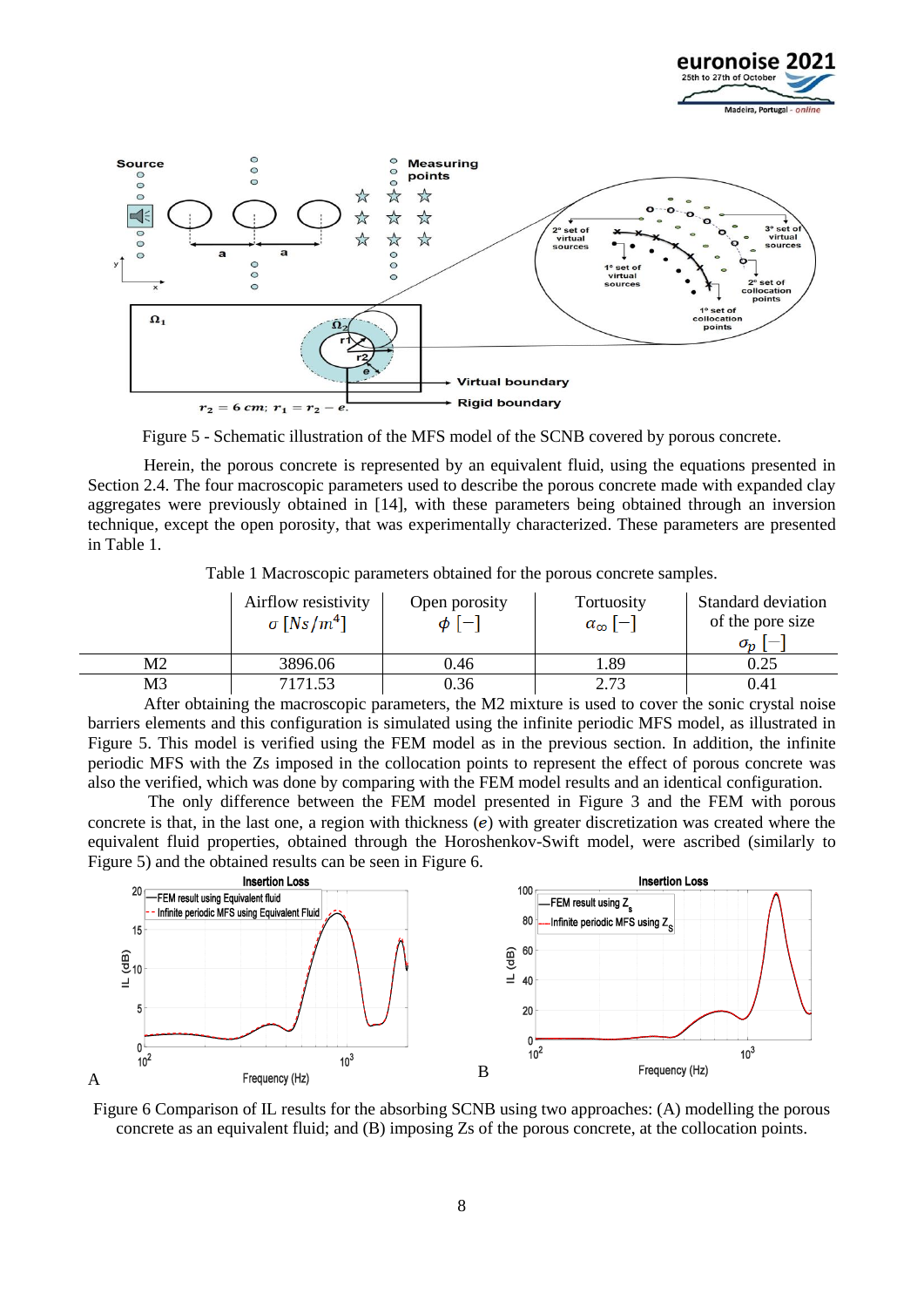



Figure 5 - Schematic illustration of the MFS model of the SCNB covered by porous concrete.

Herein, the porous concrete is represented by an equivalent fluid, using the equations presented in Section 2.4. The four macroscopic parameters used to describe the porous concrete made with expanded clay aggregates were previously obtained in [14], with these parameters being obtained through an inversion technique, except the open porosity, that was experimentally characterized. These parameters are presented in Table 1.

Table 1 Macroscopic parameters obtained for the porous concrete samples.

|                                                                                                                                                                                                                                               | Airflow resistivity<br>$\sigma$ [Ns/m <sup>4</sup> ] | Open porosity<br>$\phi$ [-] | Tortuosity<br>$\alpha_{\infty}$ [-] | Standard deviation<br>of the pore size<br>$\sigma_{n}$ |
|-----------------------------------------------------------------------------------------------------------------------------------------------------------------------------------------------------------------------------------------------|------------------------------------------------------|-----------------------------|-------------------------------------|--------------------------------------------------------|
| M2                                                                                                                                                                                                                                            | 3896.06                                              | 0.46                        | 1.89                                | 0.25                                                   |
| M3<br>$\lambda$ C $\lambda$ is the contract of the contract of the contract of the contract of the contract of the contract of the contract of the contract of the contract of the contract of the contract of the contract of the contract o | 7171.53                                              | 0.36                        | 2.73                                | 0.41                                                   |

After obtaining the macroscopic parameters, the M2 mixture is used to cover the sonic crystal noise barriers elements and this configuration is simulated using the infinite periodic MFS model, as illustrated in Figure 5. This model is verified using the FEM model as in the previous section. In addition, the infinite periodic MFS with the Zs imposed in the collocation points to represent the effect of porous concrete was also the verified, which was done by comparing with the FEM model results and an identical configuration.

The only difference between the FEM model presented in Figure 3 and the FEM with porous concrete is that, in the last one, a region with thickness  $(e)$  with greater discretization was created where the equivalent fluid properties, obtained through the Horoshenkov-Swift model, were ascribed (similarly to Figure 5) and the obtained results can be seen in Figure 6.



Figure 6 Comparison of IL results for the absorbing SCNB using two approaches: (A) modelling the porous concrete as an equivalent fluid; and (B) imposing Zs of the porous concrete, at the collocation points.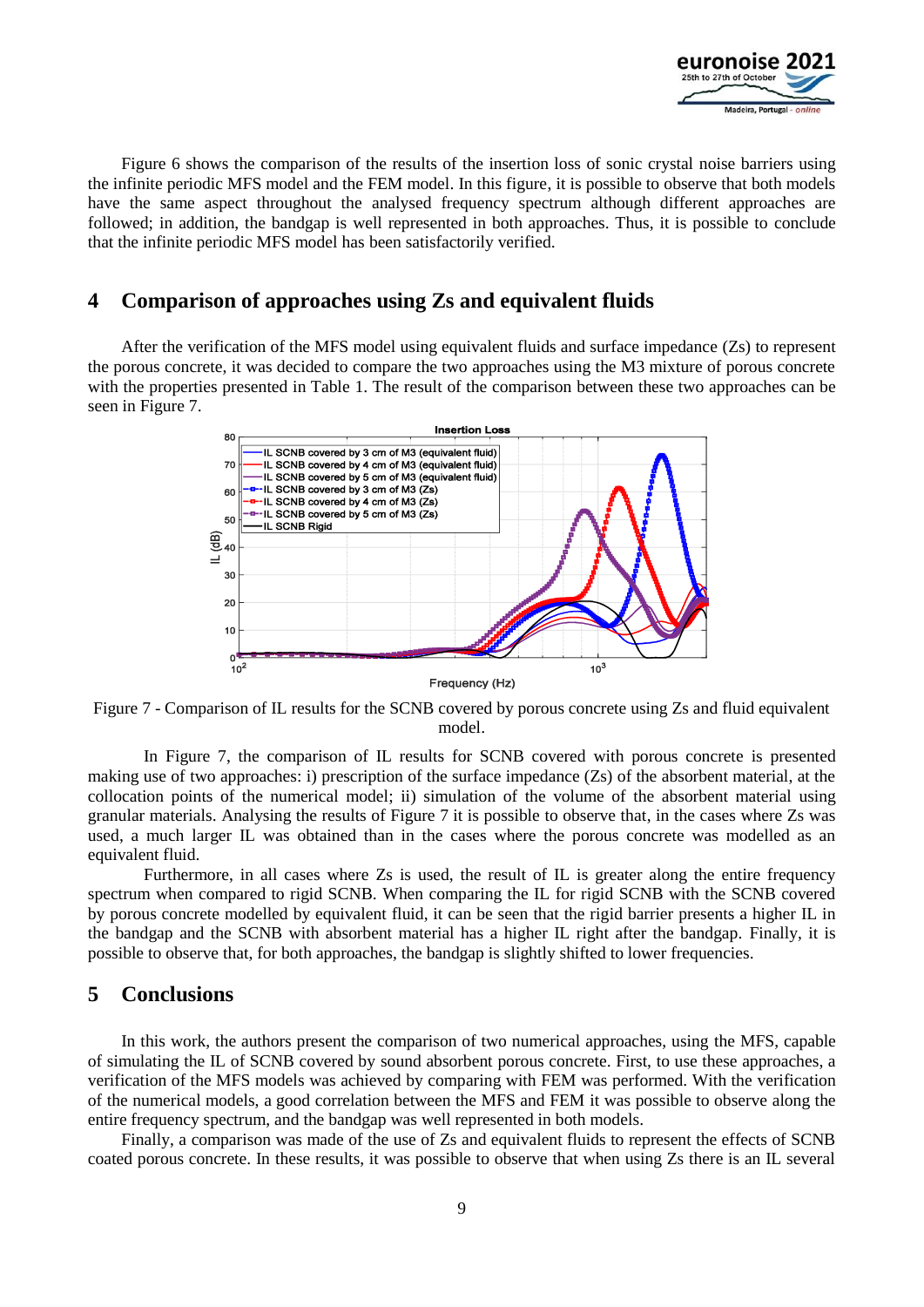

Figure 6 shows the comparison of the results of the insertion loss of sonic crystal noise barriers using the infinite periodic MFS model and the FEM model. In this figure, it is possible to observe that both models have the same aspect throughout the analysed frequency spectrum although different approaches are followed; in addition, the bandgap is well represented in both approaches. Thus, it is possible to conclude that the infinite periodic MFS model has been satisfactorily verified.

# **4 Comparison of approaches using Zs and equivalent fluids**

After the verification of the MFS model using equivalent fluids and surface impedance (Zs) to represent the porous concrete, it was decided to compare the two approaches using the M3 mixture of porous concrete with the properties presented in Table 1. The result of the comparison between these two approaches can be seen in Figure 7.



Figure 7 - Comparison of IL results for the SCNB covered by porous concrete using Zs and fluid equivalent model.

In Figure 7, the comparison of IL results for SCNB covered with porous concrete is presented making use of two approaches: i) prescription of the surface impedance (Zs) of the absorbent material, at the collocation points of the numerical model; ii) simulation of the volume of the absorbent material using granular materials. Analysing the results of Figure 7 it is possible to observe that, in the cases where Zs was used, a much larger IL was obtained than in the cases where the porous concrete was modelled as an equivalent fluid.

Furthermore, in all cases where Zs is used, the result of IL is greater along the entire frequency spectrum when compared to rigid SCNB. When comparing the IL for rigid SCNB with the SCNB covered by porous concrete modelled by equivalent fluid, it can be seen that the rigid barrier presents a higher IL in the bandgap and the SCNB with absorbent material has a higher IL right after the bandgap. Finally, it is possible to observe that, for both approaches, the bandgap is slightly shifted to lower frequencies.

## **5 Conclusions**

In this work, the authors present the comparison of two numerical approaches, using the MFS, capable of simulating the IL of SCNB covered by sound absorbent porous concrete. First, to use these approaches, a verification of the MFS models was achieved by comparing with FEM was performed. With the verification of the numerical models, a good correlation between the MFS and FEM it was possible to observe along the entire frequency spectrum, and the bandgap was well represented in both models.

Finally, a comparison was made of the use of Zs and equivalent fluids to represent the effects of SCNB coated porous concrete. In these results, it was possible to observe that when using Zs there is an IL several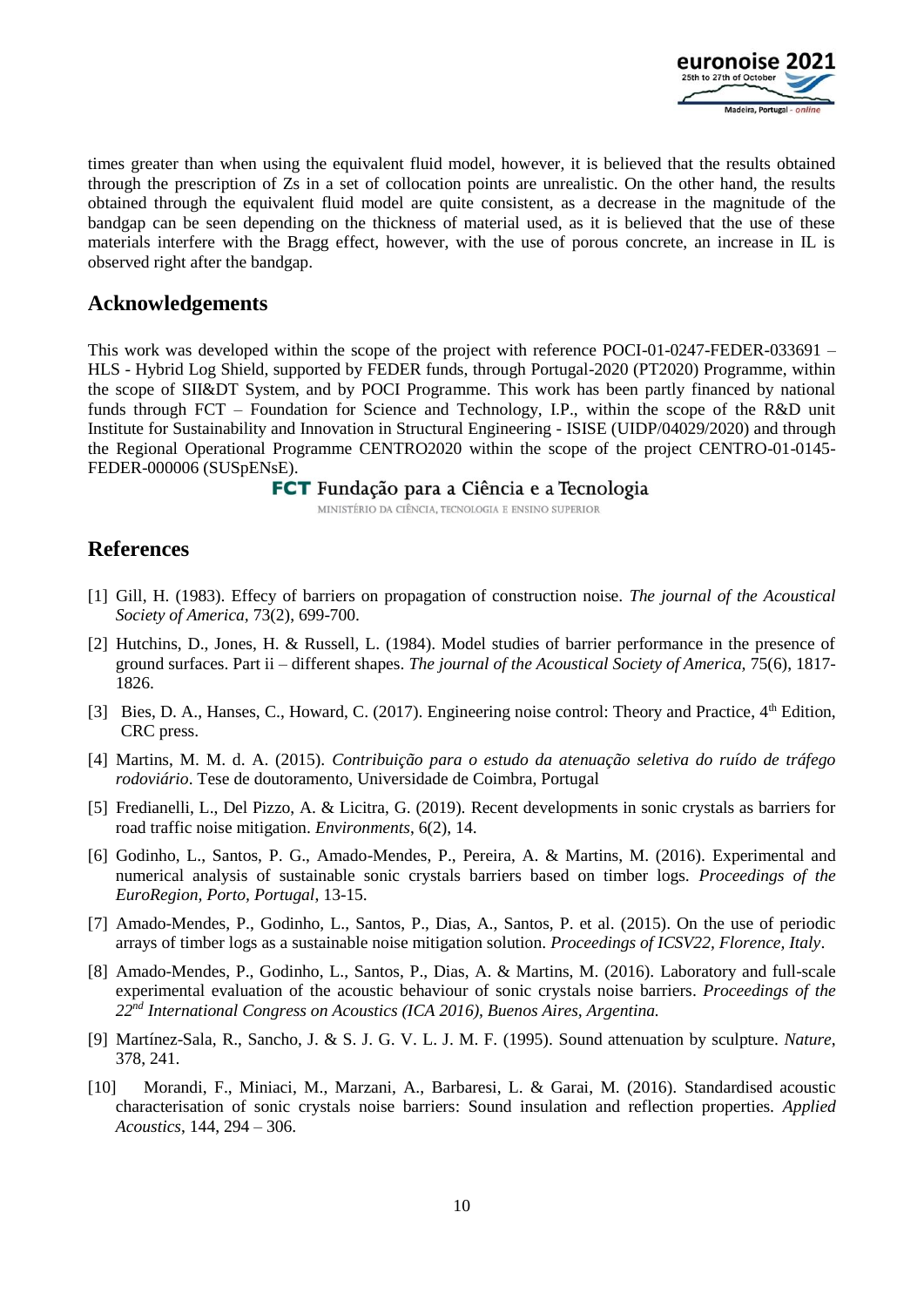

times greater than when using the equivalent fluid model, however, it is believed that the results obtained through the prescription of Zs in a set of collocation points are unrealistic. On the other hand, the results obtained through the equivalent fluid model are quite consistent, as a decrease in the magnitude of the bandgap can be seen depending on the thickness of material used, as it is believed that the use of these materials interfere with the Bragg effect, however, with the use of porous concrete, an increase in IL is observed right after the bandgap.

### **Acknowledgements**

This work was developed within the scope of the project with reference POCI-01-0247-FEDER-033691 – HLS - Hybrid Log Shield, supported by FEDER funds, through Portugal-2020 (PT2020) Programme, within the scope of SII&DT System, and by POCI Programme. This work has been partly financed by national funds through FCT – Foundation for Science and Technology, I.P., within the scope of the R&D unit Institute for Sustainability and Innovation in Structural Engineering - ISISE (UIDP/04029/2020) and through the Regional Operational Programme CENTRO2020 within the scope of the project CENTRO-01-0145- FEDER-000006 (SUSpENsE).

### FCT Fundação para a Ciência e a Tecnologia

MINISTÉRIO DA CIÊNCIA, TECNOLOGIA E ENSINO SUPERIOR

# **References**

- [1] Gill, H. (1983). Effecy of barriers on propagation of construction noise. *The journal of the Acoustical Society of America,* 73(2), 699-700.
- [2] Hutchins, D., Jones, H. & Russell, L. (1984). Model studies of barrier performance in the presence of ground surfaces. Part ii – different shapes. *The journal of the Acoustical Society of America,* 75(6), 1817- 1826.
- [3] Bies, D. A., Hanses, C., Howard, C. (2017). Engineering noise control: Theory and Practice, 4<sup>th</sup> Edition, CRC press.
- [4] Martins, M. M. d. A. (2015). *Contribuição para o estudo da atenuação seletiva do ruído de tráfego rodoviário*. Tese de doutoramento, Universidade de Coimbra, Portugal
- [5] Fredianelli, L., Del Pizzo, A. & Licitra, G. (2019). Recent developments in sonic crystals as barriers for road traffic noise mitigation. *Environments*, 6(2), 14.
- [6] Godinho, L., Santos, P. G., Amado-Mendes, P., Pereira, A. & Martins, M. (2016). Experimental and numerical analysis of sustainable sonic crystals barriers based on timber logs. *Proceedings of the EuroRegion, Porto, Portugal*, 13-15.
- [7] Amado-Mendes, P., Godinho, L., Santos, P., Dias, A., Santos, P. et al. (2015). On the use of periodic arrays of timber logs as a sustainable noise mitigation solution. *Proceedings of ICSV22, Florence, Italy*.
- [8] Amado-Mendes, P., Godinho, L., Santos, P., Dias, A. & Martins, M. (2016). Laboratory and full-scale experimental evaluation of the acoustic behaviour of sonic crystals noise barriers. *Proceedings of the 22nd International Congress on Acoustics (ICA 2016), Buenos Aires, Argentina.*
- [9] Martínez-Sala, R., Sancho, J. & S. J. G. V. L. J. M. F. (1995). Sound attenuation by sculpture. *Nature*, 378, 241.
- [10] Morandi, F., Miniaci, M., Marzani, A., Barbaresi, L. & Garai, M. (2016). Standardised acoustic characterisation of sonic crystals noise barriers: Sound insulation and reflection properties. *Applied Acoustics*, 144, 294 – 306.